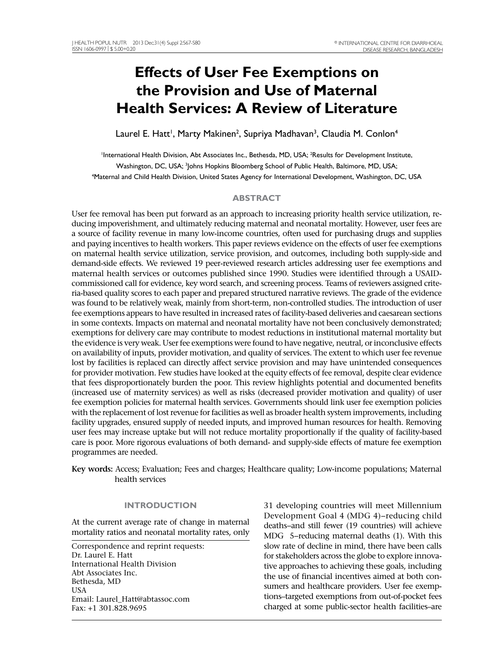# **Effects of User Fee Exemptions on the Provision and Use of Maternal Health Services: A Review of Literature**

Laurel E. Hatt<sup>i</sup>, Marty Makinen<sup>2</sup>, Supriya Madhavan<sup>3</sup>, Claudia M. Conlon<sup>4</sup>

'International Health Division, Abt Associates Inc., Bethesda, MD, USA; <sup>2</sup>Results for Development Institute, Washington, DC, USA; <sup>3</sup>Johns Hopkins Bloomberg School of Public Health, Baltimore, MD, USA; 4 Maternal and Child Health Division, United States Agency for International Development, Washington, DC, USA

# **ABSTRACT**

User fee removal has been put forward as an approach to increasing priority health service utilization, reducing impoverishment, and ultimately reducing maternal and neonatal mortality. However, user fees are a source of facility revenue in many low-income countries, often used for purchasing drugs and supplies and paying incentives to health workers. This paper reviews evidence on the effects of user fee exemptions on maternal health service utilization, service provision, and outcomes, including both supply-side and demand-side effects. We reviewed 19 peer-reviewed research articles addressing user fee exemptions and maternal health services or outcomes published since 1990. Studies were identified through a USAIDcommissioned call for evidence, key word search, and screening process. Teams of reviewers assigned criteria-based quality scores to each paper and prepared structured narrative reviews. The grade of the evidence was found to be relatively weak, mainly from short-term, non-controlled studies. The introduction of user fee exemptions appears to have resulted in increased rates of facility-based deliveries and caesarean sections in some contexts. Impacts on maternal and neonatal mortality have not been conclusively demonstrated; exemptions for delivery care may contribute to modest reductions in institutional maternal mortality but the evidence is very weak. User fee exemptions were found to have negative, neutral, or inconclusive effects on availability of inputs, provider motivation, and quality of services. The extent to which user fee revenue lost by facilities is replaced can directly affect service provision and may have unintended consequences for provider motivation. Few studies have looked at the equity effects of fee removal, despite clear evidence that fees disproportionately burden the poor. This review highlights potential and documented benefits (increased use of maternity services) as well as risks (decreased provider motivation and quality) of user fee exemption policies for maternal health services. Governments should link user fee exemption policies with the replacement of lost revenue for facilities as well as broader health system improvements, including facility upgrades, ensured supply of needed inputs, and improved human resources for health. Removing user fees may increase uptake but will not reduce mortality proportionally if the quality of facility-based care is poor. More rigorous evaluations of both demand- and supply-side effects of mature fee exemption programmes are needed.

**Key words:** Access; Evaluation; Fees and charges; Healthcare quality; Low-income populations; Maternal health services

# **INTRODUCTION**

At the current average rate of change in maternal mortality ratios and neonatal mortality rates, only

Correspondence and reprint requests: Dr. Laurel E. Hatt International Health Division Abt Associates Inc. Bethesda, MD USA Email: Laurel\_Hatt@abtassoc.com Fax: +1 301.828.9695

31 developing countries will meet Millennium Development Goal 4 (MDG 4)−reducing child deaths−and still fewer (19 countries) will achieve MDG 5−reducing maternal deaths (1). With this slow rate of decline in mind, there have been calls for stakeholders across the globe to explore innovative approaches to achieving these goals, including the use of financial incentives aimed at both consumers and healthcare providers. User fee exemptions–targeted exemptions from out-of-pocket fees charged at some public-sector health facilities–are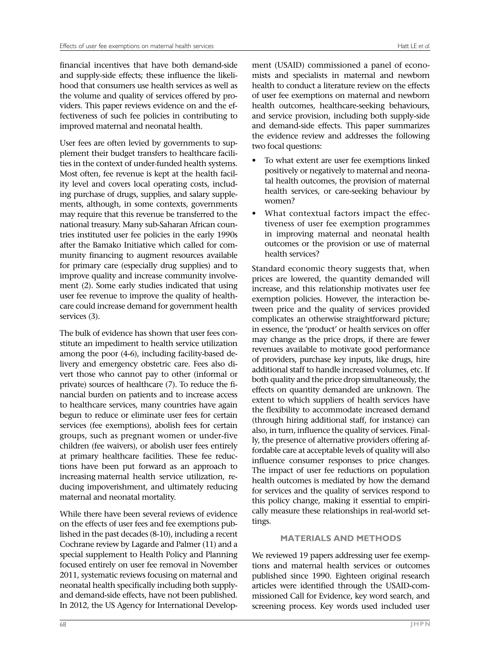financial incentives that have both demand-side and supply-side effects; these influence the likelihood that consumers use health services as well as the volume and quality of services offered by providers. This paper reviews evidence on and the effectiveness of such fee policies in contributing to improved maternal and neonatal health.

User fees are often levied by governments to supplement their budget transfers to healthcare facilities in the context of under-funded health systems. Most often, fee revenue is kept at the health facility level and covers local operating costs, including purchase of drugs, supplies, and salary supplements, although, in some contexts, governments may require that this revenue be transferred to the national treasury. Many sub-Saharan African countries instituted user fee policies in the early 1990s after the Bamako Initiative which called for community financing to augment resources available for primary care (especially drug supplies) and to improve quality and increase community involvement (2). Some early studies indicated that using user fee revenue to improve the quality of healthcare could increase demand for government health services (3).

The bulk of evidence has shown that user fees constitute an impediment to health service utilization among the poor (4-6), including facility-based delivery and emergency obstetric care. Fees also divert those who cannot pay to other (informal or private) sources of healthcare (7). To reduce the financial burden on patients and to increase access to healthcare services, many countries have again begun to reduce or eliminate user fees for certain services (fee exemptions), abolish fees for certain groups, such as pregnant women or under-five children (fee waivers), or abolish user fees entirely at primary healthcare facilities. These fee reductions have been put forward as an approach to increasing maternal health service utilization, reducing impoverishment, and ultimately reducing maternal and neonatal mortality.

While there have been several reviews of evidence on the effects of user fees and fee exemptions published in the past decades (8-10), including a recent Cochrane review by Lagarde and Palmer (11) and a special supplement to Health Policy and Planning focused entirely on user fee removal in November 2011, systematic reviews focusing on maternal and neonatal health specifically including both supplyand demand-side effects, have not been published. In 2012, the US Agency for International Develop-

ment (USAID) commissioned a panel of economists and specialists in maternal and newborn health to conduct a literature review on the effects of user fee exemptions on maternal and newborn health outcomes, healthcare-seeking behaviours, and service provision, including both supply-side and demand-side effects. This paper summarizes the evidence review and addresses the following two focal questions:

- To what extent are user fee exemptions linked positively or negatively to maternal and neonatal health outcomes, the provision of maternal health services, or care-seeking behaviour by women?
- What contextual factors impact the effectiveness of user fee exemption programmes in improving maternal and neonatal health outcomes or the provision or use of maternal health services?

Standard economic theory suggests that, when prices are lowered, the quantity demanded will increase, and this relationship motivates user fee exemption policies. However, the interaction between price and the quality of services provided complicates an otherwise straightforward picture; in essence, the 'product' or health services on offer may change as the price drops, if there are fewer revenues available to motivate good performance of providers, purchase key inputs, like drugs, hire additional staff to handle increased volumes, etc. If both quality and the price drop simultaneously, the effects on quantity demanded are unknown. The extent to which suppliers of health services have the flexibility to accommodate increased demand (through hiring additional staff, for instance) can also, in turn, influence the quality of services. Finally, the presence of alternative providers offering affordable care at acceptable levels of quality will also influence consumer responses to price changes. The impact of user fee reductions on population health outcomes is mediated by how the demand for services and the quality of services respond to this policy change, making it essential to empirically measure these relationships in real-world settings.

# **MATERIALS AND METHODS**

We reviewed 19 papers addressing user fee exemptions and maternal health services or outcomes published since 1990. Eighteen original research articles were identified through the USAID-commissioned Call for Evidence, key word search, and screening process. Key words used included user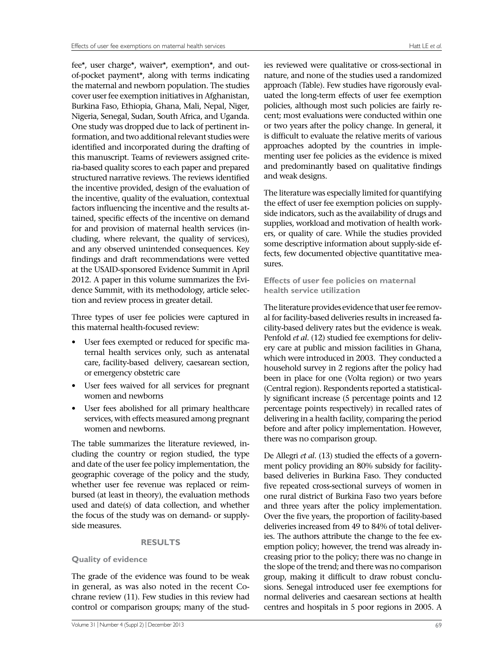fee\*, user charge\*, waiver\*, exemption\*, and outof-pocket payment\*, along with terms indicating the maternal and newborn population. The studies cover user fee exemption initiatives in Afghanistan, Burkina Faso, Ethiopia, Ghana, Mali, Nepal, Niger, Nigeria, Senegal, Sudan, South Africa, and Uganda. One study was dropped due to lack of pertinent information, and two additional relevant studies were identified and incorporated during the drafting of this manuscript. Teams of reviewers assigned criteria-based quality scores to each paper and prepared structured narrative reviews. The reviews identified the incentive provided, design of the evaluation of the incentive, quality of the evaluation, contextual factors influencing the incentive and the results attained, specific effects of the incentive on demand for and provision of maternal health services (including, where relevant, the quality of services), and any observed unintended consequences. Key findings and draft recommendations were vetted at the USAID-sponsored Evidence Summit in April 2012. A paper in this volume summarizes the Evidence Summit, with its methodology, article selection and review process in greater detail.

Three types of user fee policies were captured in this maternal health-focused review:

- User fees exempted or reduced for specific maternal health services only, such as antenatal care, facility-based delivery, caesarean section, or emergency obstetric care
- User fees waived for all services for pregnant women and newborns
- User fees abolished for all primary healthcare services, with effects measured among pregnant women and newborns.

The table summarizes the literature reviewed, including the country or region studied, the type and date of the user fee policy implementation, the geographic coverage of the policy and the study, whether user fee revenue was replaced or reimbursed (at least in theory), the evaluation methods used and date(s) of data collection, and whether the focus of the study was on demand- or supplyside measures.

# **RESULTS**

# **Quality of evidence**

The grade of the evidence was found to be weak in general, as was also noted in the recent Cochrane review (11). Few studies in this review had control or comparison groups; many of the stud-

ies reviewed were qualitative or cross-sectional in nature, and none of the studies used a randomized approach (Table). Few studies have rigorously evaluated the long-term effects of user fee exemption policies, although most such policies are fairly recent; most evaluations were conducted within one or two years after the policy change. In general, it is difficult to evaluate the relative merits of various approaches adopted by the countries in implementing user fee policies as the evidence is mixed and predominantly based on qualitative findings and weak designs.

The literature was especially limited for quantifying the effect of user fee exemption policies on supplyside indicators, such as the availability of drugs and supplies, workload and motivation of health workers, or quality of care. While the studies provided some descriptive information about supply-side effects, few documented objective quantitative measures.

# **Effects of user fee policies on maternal health service utilization**

The literature provides evidence that user fee removal for facility-based deliveries results in increased facility-based delivery rates but the evidence is weak. Penfold *et al*. (12) studied fee exemptions for delivery care at public and mission facilities in Ghana, which were introduced in 2003. They conducted a household survey in 2 regions after the policy had been in place for one (Volta region) or two years (Central region). Respondents reported a statistically significant increase (5 percentage points and 12 percentage points respectively) in recalled rates of delivering in a health facility, comparing the period before and after policy implementation. However, there was no comparison group.

De Allegri *et al*. (13) studied the effects of a government policy providing an 80% subsidy for facilitybased deliveries in Burkina Faso. They conducted five repeated cross-sectional surveys of women in one rural district of Burkina Faso two years before and three years after the policy implementation. Over the five years, the proportion of facility-based deliveries increased from 49 to 84% of total deliveries. The authors attribute the change to the fee exemption policy; however, the trend was already increasing prior to the policy; there was no change in the slope of the trend; and there was no comparison group, making it difficult to draw robust conclusions. Senegal introduced user fee exemptions for normal deliveries and caesarean sections at health centres and hospitals in 5 poor regions in 2005. A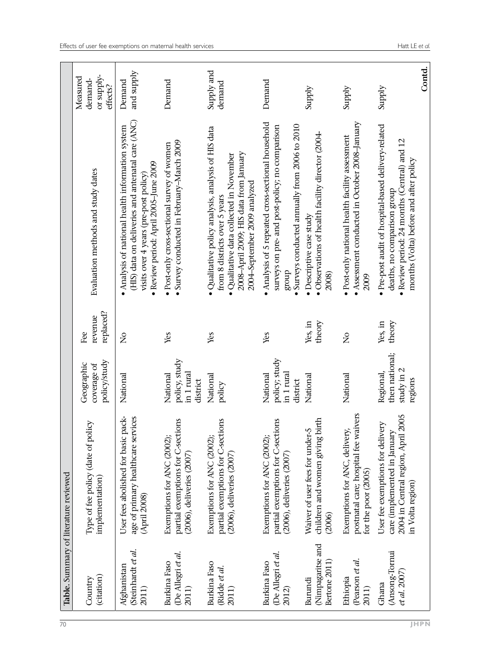|                                                   | Table. Summary of literature reviewed                                                                                      |                                                      |                             |                                                                                                                                                                                                            |                                               |
|---------------------------------------------------|----------------------------------------------------------------------------------------------------------------------------|------------------------------------------------------|-----------------------------|------------------------------------------------------------------------------------------------------------------------------------------------------------------------------------------------------------|-----------------------------------------------|
| (citation)<br>Country                             | Type of fee policy (date of policy<br>implementation)                                                                      | policy/study<br>Geographic<br>coverage of            | replaced?<br>revenue<br>Еeе | Evaluation methods and study dates                                                                                                                                                                         | or supply-<br>Measured<br>demand-<br>effects? |
| Steinhardt et al.<br>Afghanistan<br>2011)         | pack-<br>age of primary healthcare services<br>User fees abolished for basic<br>(April 2008)                               | National                                             | ż                           | (HIS) data on deliveries and antenatal care (ANC)<br>• Analysis of national health information system<br>· Review period: April 2005-June 2009<br>visits over 4 years (pre-post policy)                    | and supply<br>Demand                          |
| De Allegri et al.<br>Burkina Faso<br>2011)        | partial exemptions for C-sections<br>Exemptions for ANC (2002);<br>(2006), deliveries (2007)                               | policy, study<br>in 1 rural<br>National<br>district  | Yes                         | • Survey conducted in February-March 2009<br>• Post-only cross-sectional survey of women                                                                                                                   | Demand                                        |
| <b>Burkina</b> Faso<br>(Ridde et al.<br>2011)     | partial exemptions for C-sections<br>Exemptions for ANC (2002)<br>(2006), deliveries (2007)                                | National<br>policy                                   | Yes                         | · Qualitative policy analysis, analysis of HIS data<br>2008–April 2009; HIS data from January<br>· Qualitative data collected in November<br>2004–September 2009 analyzed<br>from 8 districts over 5 years | Supply and<br>demand                          |
| De Allegri et al.<br><b>Burkina</b> Faso<br>2012) | partial exemptions for C-sections<br>Exemptions for ANC (2002);<br>(2006), deliveries (2007)                               | policy; study<br>in 1 rural<br>National<br>district  | Yes                         | • Analysis of 5 repeated cross-sectional household<br>• Surveys conducted annually from 2006 to 2010<br>surveys on pre- and post-policy; no comparison<br>dnorg                                            | Demand                                        |
| Nimpagaritse and<br>Bertone 2011)<br>Burundi      | children and women giving birth<br>Waiver of user fees for under-5<br>(2006)                                               | National                                             | Yes, in<br>theory           | · Observations of health facility director (2004-<br>· Descriptive case study<br>2008)                                                                                                                     | Supply                                        |
| (Pearson et al.<br>Ethiopia<br>2011)              | postnatal care; hospital fee waivers<br>Exemptions for ANC, delivery,<br>for the poor (2005)                               | National                                             | $\tilde{z}$                 | • Assessment conducted in October 2008-January<br>· Post-only national health facility assessment<br>2009                                                                                                  | Supply                                        |
| (Ansong-Tornui<br>et al. 2007<br>Ghana            | 2004 in Central region, April 2005<br>User fee exemptions for delivery<br>care (implemented in January<br>in Volta region) | then national;<br>study in 2<br>Regional,<br>regions | Yes, in<br>theory           | · Pre-post audit of hospital-based delivery-related<br>· Review period: 24 months (Central) and 12<br>months (Volta) before and after policy<br>deaths, no comparison group                                | Supply                                        |
|                                                   |                                                                                                                            |                                                      |                             |                                                                                                                                                                                                            | Contd.                                        |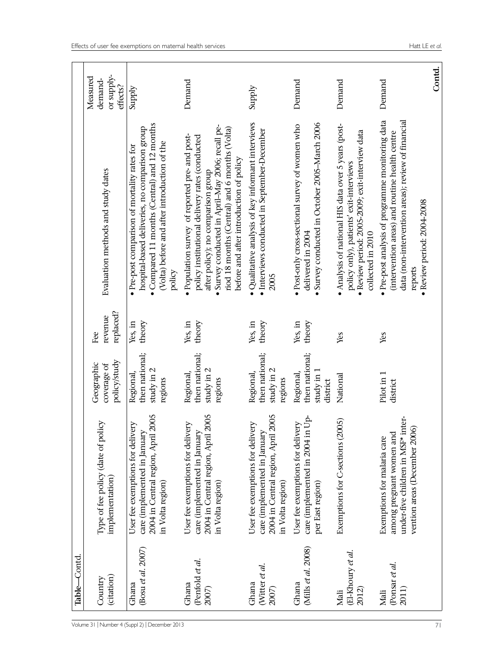|                            | Table-Contd                        |                                                                                                                                |                                                         |                             |                                                                                                                                                                                                                                                                                        |                                               |
|----------------------------|------------------------------------|--------------------------------------------------------------------------------------------------------------------------------|---------------------------------------------------------|-----------------------------|----------------------------------------------------------------------------------------------------------------------------------------------------------------------------------------------------------------------------------------------------------------------------------------|-----------------------------------------------|
| Volume 31<br>Number 4      | (citation)<br>Country              | Type of fee policy (date of policy<br>implementation)                                                                          | policy/study<br>Geographic<br>coverage of               | replaced?<br>revenue<br>Fee | Evaluation methods and study dates                                                                                                                                                                                                                                                     | or supply-<br>Measured<br>demand-<br>effects? |
| December 2013<br>(Suppl 2) | (Bosu et al. 2007)<br>Ghana        | 2004 in Central region, April 2005<br>User fee exemptions for delivery<br>care (implemented in January<br>in Volta region)     | then national;<br>study in 2<br>Regional,<br>regions    | theory<br>Yes, in           | • Compared 11 months (Central) and 12 months<br>hospital-based deliveries, no comparison group<br>(Volta) before and after introduction of the<br>• Pre-post comparison of mortality rates for<br>policy                                                                               | Supply                                        |
|                            | (Penfold et al.<br>Ghana<br>2007)  | 2004 in Central region, April 2005<br>User fee exemptions for delivery<br>care (implemented in January<br>in Volta region)     | then national;<br>study in 2<br>Regional,<br>regions    | Yes, in<br>theory           | • Survey conducted in April-May 2006; recall pe-<br>riod 18 months (Central) and 6 months (Volta)<br>• Population survey of reported pre- and post-<br>policy institutional delivery rates (conducted<br>before and after introduction of policy<br>after policy); no comparison group | Demand                                        |
|                            | Witter et al.<br>Ghana<br>2007)    | 2004 in Central region, April 2005<br>User fee exemptions for delivery<br>care (implemented in January<br>in Volta region)     | then national;<br>study in 2<br>Regional,<br>regions    | Yes, in<br>theory           | · Qualitative analysis of key informant interviews<br>· Interviews conducted in September-December<br>2005                                                                                                                                                                             | Supply                                        |
|                            | (Mills et al. 2008)<br>Ghana       | in Up-<br>User fee exemptions for delivery<br>care (implemented in 2004<br>per East region)                                    | then national;<br>study in $1$<br>Regional,<br>district | Yes, in<br>theory           | • Survey conducted in October 2005-March 2006<br>· Post-only cross-sectional survey of women who<br>delivered in 2004                                                                                                                                                                  | Demand                                        |
|                            | (El-Khoury et al.<br>2012)<br>Mali | Exemptions for C-sections (2005)                                                                                               | National                                                | Yes                         | • Analysis of national HIS data over 5 years (post-<br>· Review period: 2005-2009; exit-interview data<br>policy only), patients' exit-interviews<br>collected in 2010                                                                                                                 | Demand                                        |
|                            | (Ponsar et al.<br>2011)<br>Mali    | under-five children in MSF* inter-<br>vention areas (December 2006)<br>among pregnant women and<br>Exemptions for malaria care | Pilot in 1<br>district                                  | Yes                         | · Pre-post analysis of programme monitoring data<br>data (non-intervention areas); review of financial<br>(intervention areas) and routine health centre<br>· Review period: 2004-2008<br>reports                                                                                      | Contd.<br>Demand                              |
| 71                         |                                    |                                                                                                                                |                                                         |                             |                                                                                                                                                                                                                                                                                        |                                               |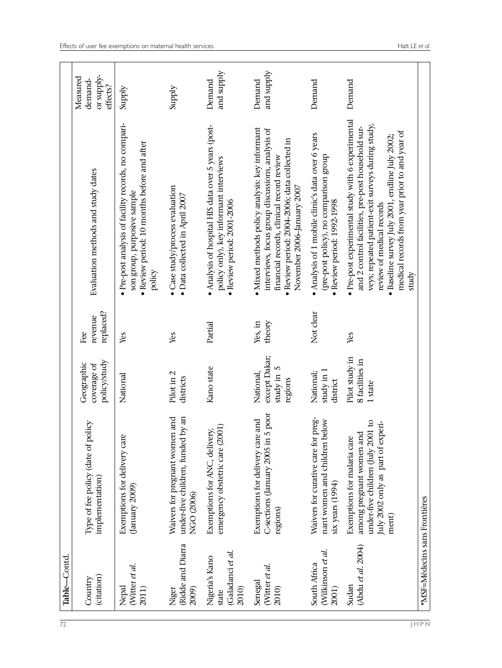| $\overline{72}$ | Table-Contd                                                  |                                                                                                                                            |                                                    |                             |                                                                                                                                                                                                                                                                                                        |                                               |
|-----------------|--------------------------------------------------------------|--------------------------------------------------------------------------------------------------------------------------------------------|----------------------------------------------------|-----------------------------|--------------------------------------------------------------------------------------------------------------------------------------------------------------------------------------------------------------------------------------------------------------------------------------------------------|-----------------------------------------------|
|                 | (citation)<br>Country                                        | Type of fee policy (date of policy<br>implementation)                                                                                      | policy/study<br>Geographic<br>coverage of          | replaced?<br>revenue<br>Еeе | Evaluation methods and study dates                                                                                                                                                                                                                                                                     | or supply-<br>Measured<br>demand-<br>effects? |
|                 | (Witter et al.<br>2011)<br>Nepal                             | Exemptions for delivery care<br>(January 2009)                                                                                             | National                                           | Yes                         | · Pre-post analysis of facility records, no compari-<br>· Review period: 10 months before and after<br>son group, purposive sample<br>policy                                                                                                                                                           | Supply                                        |
|                 | Ridde and Diarra<br>2009)<br>Niger                           | under-five children, funded by an<br>Waivers for pregnant women and<br>NGO (2006)                                                          | Pilot in 2<br>districts                            | Yes                         | · Case study/process evaluation<br>• Data collected in April $2007$                                                                                                                                                                                                                                    | Supply                                        |
|                 | (Galadanci <i>et al.</i><br>Nigeria's Kano<br>2010)<br>state | emergency obstetric care (2001)<br>Exemptions for ANC, delivery,                                                                           | Kano state                                         | Partial                     | · Analysis of hospital HIS data over 5 years (post-<br>policy only), key informant interviews<br>· Review period: 2001-2006                                                                                                                                                                            | and supply<br>Demand                          |
|                 | (Witter et al.<br>Senegal<br>2010)                           | 5 poor<br>Exemptions for delivery care and<br>C-sections (January 2005 in<br>regions)                                                      | except Dakar;<br>study in 5<br>National<br>regions | theory<br>Yes, in           | • Mixed methods policy analysis: key informant<br>interviews, focus group discussions, analysis of<br>· Review period: 2004-2006; data collected in<br>financial records, clinical record review<br>November 2006–January 2007                                                                         | and supply<br>Demand                          |
|                 | (Wilkinson et al.<br>South Africa<br>2001)                   | preg-<br>volec<br>Waivers for curative care for<br>nant women and children l<br>six years (1994)                                           | study in 1<br>National;<br>district                | Not clear                   | · Analysis of 1 mobile clinic's data over 6 years<br>(pre-post policy), no comparison group<br>· Review period: 1992-1998                                                                                                                                                                              | Demand                                        |
|                 | (Abdu et al. 2004)<br>Sudan                                  | under-five children (July 2001 to<br>July 2002 only as part of experi-<br>among pregnant women and<br>Exemptions for malaria care<br>ment) | Pilot study in<br>8 facilities in<br>1 state       | Yes                         | · Pre-post experimental study with 6 experimental<br>veys; repeated patient-exit surveys during study,<br>and 2 control facilities, pre-post household sur-<br>medical records from year prior to and year of<br>· Baseline survey July 2001, endline July 2002;<br>review of medical records<br>study | Demand                                        |
|                 | *MSF=Médecins sans Frontières                                |                                                                                                                                            |                                                    |                             |                                                                                                                                                                                                                                                                                                        |                                               |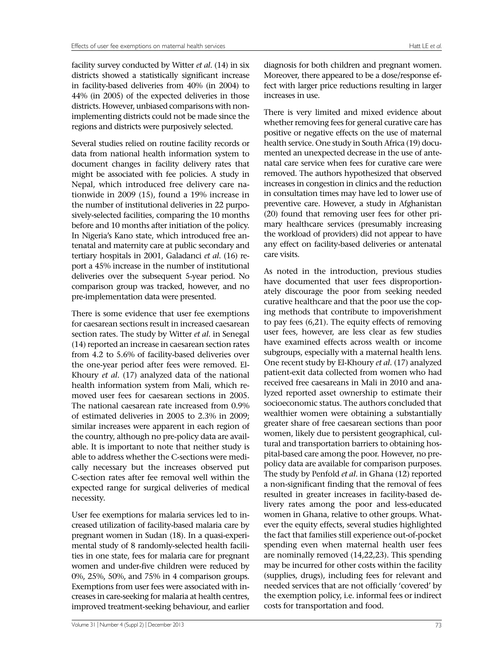facility survey conducted by Witter *et al*. (14) in six districts showed a statistically significant increase in facility-based deliveries from 40% (in 2004) to 44% (in 2005) of the expected deliveries in those districts. However, unbiased comparisons with nonimplementing districts could not be made since the regions and districts were purposively selected.

Several studies relied on routine facility records or data from national health information system to document changes in facility delivery rates that might be associated with fee policies. A study in Nepal, which introduced free delivery care nationwide in 2009 (15), found a 19% increase in the number of institutional deliveries in 22 purposively-selected facilities, comparing the 10 months before and 10 months after initiation of the policy. In Nigeria's Kano state, which introduced free antenatal and maternity care at public secondary and tertiary hospitals in 2001, Galadanci *et al*. (16) report a 45% increase in the number of institutional deliveries over the subsequent 5-year period. No comparison group was tracked, however, and no pre-implementation data were presented.

There is some evidence that user fee exemptions for caesarean sections result in increased caesarean section rates. The study by Witter *et al*. in Senegal (14) reported an increase in caesarean section rates from 4.2 to 5.6% of facility-based deliveries over the one-year period after fees were removed. El-Khoury *et al*. (17) analyzed data of the national health information system from Mali, which removed user fees for caesarean sections in 2005. The national caesarean rate increased from 0.9% of estimated deliveries in 2005 to 2.3% in 2009; similar increases were apparent in each region of the country, although no pre-policy data are available. It is important to note that neither study is able to address whether the C-sections were medically necessary but the increases observed put C-section rates after fee removal well within the expected range for surgical deliveries of medical necessity.

User fee exemptions for malaria services led to increased utilization of facility-based malaria care by pregnant women in Sudan (18). In a quasi-experimental study of 8 randomly-selected health facilities in one state, fees for malaria care for pregnant women and under-five children were reduced by 0%, 25%, 50%, and 75% in 4 comparison groups. Exemptions from user fees were associated with increases in care-seeking for malaria at health centres, improved treatment-seeking behaviour, and earlier

There is very limited and mixed evidence about whether removing fees for general curative care has positive or negative effects on the use of maternal health service. One study in South Africa (19) documented an unexpected decrease in the use of antenatal care service when fees for curative care were removed. The authors hypothesized that observed increases in congestion in clinics and the reduction in consultation times may have led to lower use of preventive care. However, a study in Afghanistan (20) found that removing user fees for other primary healthcare services (presumably increasing the workload of providers) did not appear to have any effect on facility-based deliveries or antenatal care visits.

As noted in the introduction, previous studies have documented that user fees disproportionately discourage the poor from seeking needed curative healthcare and that the poor use the coping methods that contribute to impoverishment to pay fees (6,21). The equity effects of removing user fees, however, are less clear as few studies have examined effects across wealth or income subgroups, especially with a maternal health lens. One recent study by El-Khoury *et al*. (17) analyzed patient-exit data collected from women who had received free caesareans in Mali in 2010 and analyzed reported asset ownership to estimate their socioeconomic status. The authors concluded that wealthier women were obtaining a substantially greater share of free caesarean sections than poor women, likely due to persistent geographical, cultural and transportation barriers to obtaining hospital-based care among the poor. However, no prepolicy data are available for comparison purposes. The study by Penfold *et al*. in Ghana (12) reported a non-significant finding that the removal of fees resulted in greater increases in facility-based delivery rates among the poor and less-educated women in Ghana, relative to other groups. Whatever the equity effects, several studies highlighted the fact that families still experience out-of-pocket spending even when maternal health user fees are nominally removed (14,22,23). This spending may be incurred for other costs within the facility (supplies, drugs), including fees for relevant and needed services that are not officially 'covered' by the exemption policy, i.e. informal fees or indirect costs for transportation and food.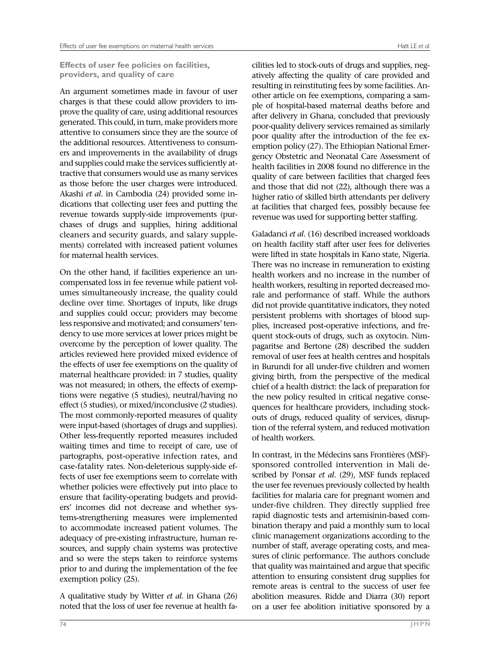**Effects of user fee policies on facilities, providers, and quality of care**

An argument sometimes made in favour of user charges is that these could allow providers to improve the quality of care, using additional resources generated. This could, in turn, make providers more attentive to consumers since they are the source of the additional resources. Attentiveness to consumers and improvements in the availability of drugs and supplies could make the services sufficiently attractive that consumers would use as many services as those before the user charges were introduced. Akashi *et al*. in Cambodia (24) provided some indications that collecting user fees and putting the revenue towards supply-side improvements (purchases of drugs and supplies, hiring additional cleaners and security guards, and salary supplements) correlated with increased patient volumes for maternal health services.

On the other hand, if facilities experience an uncompensated loss in fee revenue while patient volumes simultaneously increase, the quality could decline over time. Shortages of inputs, like drugs and supplies could occur; providers may become less responsive and motivated; and consumers' tendency to use more services at lower prices might be overcome by the perception of lower quality. The articles reviewed here provided mixed evidence of the effects of user fee exemptions on the quality of maternal healthcare provided: in 7 studies, quality was not measured; in others, the effects of exemptions were negative (5 studies), neutral/having no effect (5 studies), or mixed/inconclusive (2 studies). The most commonly-reported measures of quality were input-based (shortages of drugs and supplies). Other less-frequently reported measures included waiting times and time to receipt of care, use of partographs, post-operative infection rates, and case-fatality rates. Non-deleterious supply-side effects of user fee exemptions seem to correlate with whether policies were effectively put into place to ensure that facility-operating budgets and providers' incomes did not decrease and whether systems-strengthening measures were implemented to accommodate increased patient volumes. The adequacy of pre-existing infrastructure, human resources, and supply chain systems was protective and so were the steps taken to reinforce systems prior to and during the implementation of the fee exemption policy (25).

A qualitative study by Witter *et al*. in Ghana (26) noted that the loss of user fee revenue at health fa-

cilities led to stock-outs of drugs and supplies, negatively affecting the quality of care provided and resulting in reinstituting fees by some facilities. Another article on fee exemptions, comparing a sample of hospital-based maternal deaths before and after delivery in Ghana, concluded that previously poor-quality delivery services remained as similarly poor quality after the introduction of the fee exemption policy (27). The Ethiopian National Emergency Obstetric and Neonatal Care Assessment of health facilities in 2008 found no difference in the quality of care between facilities that charged fees and those that did not (22), although there was a higher ratio of skilled birth attendants per delivery at facilities that charged fees, possibly because fee revenue was used for supporting better staffing.

Galadanci *et al*. (16) described increased workloads on health facility staff after user fees for deliveries were lifted in state hospitals in Kano state, Nigeria. There was no increase in remuneration to existing health workers and no increase in the number of health workers, resulting in reported decreased morale and performance of staff. While the authors did not provide quantitative indicators, they noted persistent problems with shortages of blood supplies, increased post-operative infections, and frequent stock-outs of drugs, such as oxytocin. Nimpagaritse and Bertone (28) described the sudden removal of user fees at health centres and hospitals in Burundi for all under-five children and women giving birth, from the perspective of the medical chief of a health district: the lack of preparation for the new policy resulted in critical negative consequences for healthcare providers, including stockouts of drugs, reduced quality of services, disruption of the referral system, and reduced motivation of health workers.

In contrast, in the Médecins sans Frontières (MSF) sponsored controlled intervention in Mali described by Ponsar *et al*. (29), MSF funds replaced the user fee revenues previously collected by health facilities for malaria care for pregnant women and under-five children. They directly supplied free rapid diagnostic tests and artemisinin-based combination therapy and paid a monthly sum to local clinic management organizations according to the number of staff, average operating costs, and measures of clinic performance. The authors conclude that quality was maintained and argue that specific attention to ensuring consistent drug supplies for remote areas is central to the success of user fee abolition measures. Ridde and Diarra (30) report on a user fee abolition initiative sponsored by a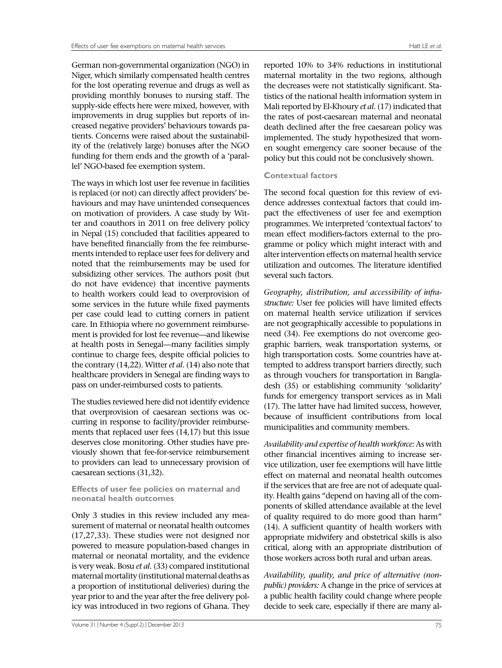German non-governmental organization (NGO) in Niger, which similarly compensated health centres for the lost operating revenue and drugs as well as providing monthly bonuses to nursing staff. The supply-side effects here were mixed, however, with improvements in drug supplies but reports of increased negative providers' behaviours towards patients. Concerns were raised about the sustainability of the (relatively large) bonuses after the NGO funding for them ends and the growth of a 'parallel' NGO-based fee exemption system.

The ways in which lost user fee revenue in facilities is replaced (or not) can directly affect providers' behaviours and may have unintended consequences on motivation of providers. A case study by Witter and coauthors in 2011 on free delivery policy in Nepal (15) concluded that facilities appeared to have benefited financially from the fee reimbursements intended to replace user fees for delivery and noted that the reimbursements may be used for subsidizing other services. The authors posit (but do not have evidence) that incentive payments to health workers could lead to overprovision of some services in the future while fixed payments per case could lead to cutting corners in patient care. In Ethiopia where no government reimbursement is provided for lost fee revenue—and likewise at health posts in Senegal—many facilities simply continue to charge fees, despite official policies to the contrary (14,22). Witter *et al*. (14) also note that healthcare providers in Senegal are finding ways to pass on under-reimbursed costs to patients.

The studies reviewed here did not identify evidence that overprovision of caesarean sections was occurring in response to facility/provider reimbursements that replaced user fees (14,17) but this issue deserves close monitoring. Other studies have previously shown that fee-for-service reimbursement to providers can lead to unnecessary provision of caesarean sections (31,32).

#### **Effects of user fee policies on maternal and neonatal health outcomes**

Only 3 studies in this review included any measurement of maternal or neonatal health outcomes (17,27,33). These studies were not designed nor powered to measure population-based changes in maternal or neonatal mortality, and the evidence is very weak. Bosu *et al*. (33) compared institutional maternal mortality (institutional maternal deaths as a proportion of institutional deliveries) during the year prior to and the year after the free delivery policy was introduced in two regions of Ghana. They reported 10% to 34% reductions in institutional maternal mortality in the two regions, although the decreases were not statistically significant. Statistics of the national health information system in Mali reported by El-Khoury *et al*. (17) indicated that the rates of post-caesarean maternal and neonatal death declined after the free caesarean policy was implemented. The study hypothesized that wom-

## **Contextual factors**

The second focal question for this review of evidence addresses contextual factors that could impact the effectiveness of user fee and exemption programmes. We interpreted 'contextual factors' to mean effect modifiers-factors external to the programme or policy which might interact with and alter intervention effects on maternal health service utilization and outcomes. The literature identified several such factors.

en sought emergency care sooner because of the policy but this could not be conclusively shown.

*Geography, distribution, and accessibility of infrastructure:* User fee policies will have limited effects on maternal health service utilization if services are not geographically accessible to populations in need (34). Fee exemptions do not overcome geographic barriers, weak transportation systems, or high transportation costs. Some countries have attempted to address transport barriers directly, such as through vouchers for transportation in Bangladesh (35) or establishing community 'solidarity' funds for emergency transport services as in Mali (17). The latter have had limited success, however, because of insufficient contributions from local municipalities and community members.

*Availability and expertise of health workforce:* As with other financial incentives aiming to increase service utilization, user fee exemptions will have little effect on maternal and neonatal health outcomes if the services that are free are not of adequate quality. Health gains "depend on having all of the components of skilled attendance available at the level of quality required to do more good than harm" (14). A sufficient quantity of health workers with appropriate midwifery and obstetrical skills is also critical, along with an appropriate distribution of those workers across both rural and urban areas.

*Availability, quality, and price of alternative (nonpublic) providers:* A change in the price of services at a public health facility could change where people decide to seek care, especially if there are many al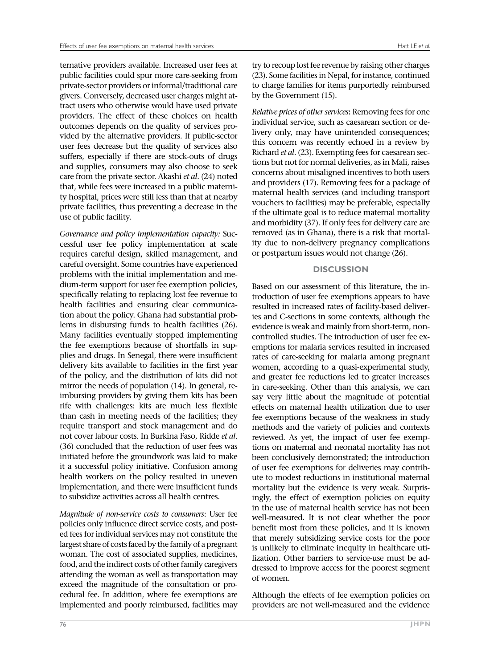ternative providers available. Increased user fees at public facilities could spur more care-seeking from private-sector providers or informal/traditional care givers. Conversely, decreased user charges might attract users who otherwise would have used private providers. The effect of these choices on health outcomes depends on the quality of services provided by the alternative providers. If public-sector user fees decrease but the quality of services also suffers, especially if there are stock-outs of drugs and supplies, consumers may also choose to seek care from the private sector. Akashi *et al*. (24) noted that, while fees were increased in a public maternity hospital, prices were still less than that at nearby private facilities, thus preventing a decrease in the use of public facility.

*Governance and policy implementation capacity:* Successful user fee policy implementation at scale requires careful design, skilled management, and careful oversight. Some countries have experienced problems with the initial implementation and medium-term support for user fee exemption policies, specifically relating to replacing lost fee revenue to health facilities and ensuring clear communication about the policy. Ghana had substantial problems in disbursing funds to health facilities (26). Many facilities eventually stopped implementing the fee exemptions because of shortfalls in supplies and drugs. In Senegal, there were insufficient delivery kits available to facilities in the first year of the policy, and the distribution of kits did not mirror the needs of population (14). In general, reimbursing providers by giving them kits has been rife with challenges: kits are much less flexible than cash in meeting needs of the facilities; they require transport and stock management and do not cover labour costs. In Burkina Faso, Ridde *et al*. (36) concluded that the reduction of user fees was initiated before the groundwork was laid to make it a successful policy initiative. Confusion among health workers on the policy resulted in uneven implementation, and there were insufficient funds to subsidize activities across all health centres.

*Magnitude of non-service costs to consumers*: User fee policies only influence direct service costs, and posted fees for individual services may not constitute the largest share of costs faced by the family of a pregnant woman. The cost of associated supplies, medicines, food, and the indirect costs of other family caregivers attending the woman as well as transportation may exceed the magnitude of the consultation or procedural fee. In addition, where fee exemptions are implemented and poorly reimbursed, facilities may

try to recoup lost fee revenue by raising other charges (23). Some facilities in Nepal, for instance, continued to charge families for items purportedly reimbursed by the Government (15).

*Relative prices of other services***:** Removing fees for one individual service, such as caesarean section or delivery only, may have unintended consequences; this concern was recently echoed in a review by Richard *et al*. (23). Exempting fees for caesarean sections but not for normal deliveries, as in Mali, raises concerns about misaligned incentives to both users and providers (17). Removing fees for a package of maternal health services (and including transport vouchers to facilities) may be preferable, especially if the ultimate goal is to reduce maternal mortality and morbidity (37). If only fees for delivery care are removed (as in Ghana), there is a risk that mortality due to non-delivery pregnancy complications or postpartum issues would not change (26).

## **DISCUSSION**

Based on our assessment of this literature, the introduction of user fee exemptions appears to have resulted in increased rates of facility-based deliveries and C-sections in some contexts, although the evidence is weak and mainly from short-term, noncontrolled studies. The introduction of user fee exemptions for malaria services resulted in increased rates of care-seeking for malaria among pregnant women, according to a quasi-experimental study, and greater fee reductions led to greater increases in care-seeking. Other than this analysis, we can say very little about the magnitude of potential effects on maternal health utilization due to user fee exemptions because of the weakness in study methods and the variety of policies and contexts reviewed. As yet, the impact of user fee exemptions on maternal and neonatal mortality has not been conclusively demonstrated; the introduction of user fee exemptions for deliveries may contribute to modest reductions in institutional maternal mortality but the evidence is very weak. Surprisingly, the effect of exemption policies on equity in the use of maternal health service has not been well-measured. It is not clear whether the poor benefit most from these policies, and it is known that merely subsidizing service costs for the poor is unlikely to eliminate inequity in healthcare utilization. Other barriers to service-use must be addressed to improve access for the poorest segment of women.

Although the effects of fee exemption policies on providers are not well-measured and the evidence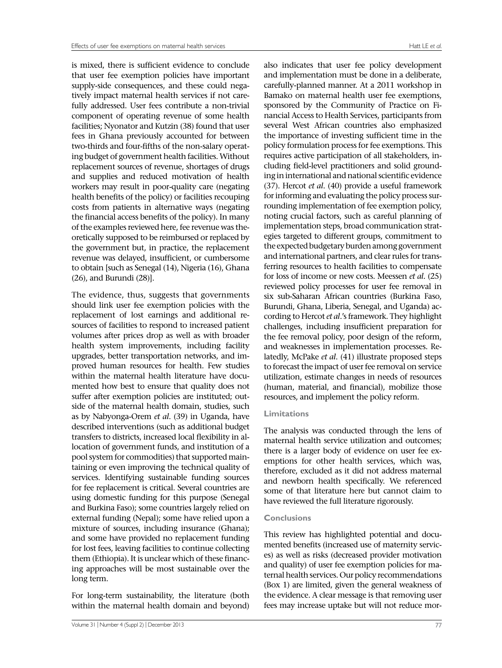is mixed, there is sufficient evidence to conclude that user fee exemption policies have important supply-side consequences, and these could negatively impact maternal health services if not carefully addressed. User fees contribute a non-trivial component of operating revenue of some health facilities; Nyonator and Kutzin (38) found that user fees in Ghana previously accounted for between two-thirds and four-fifths of the non-salary operating budget of government health facilities. Without replacement sources of revenue, shortages of drugs and supplies and reduced motivation of health workers may result in poor-quality care (negating health benefits of the policy) or facilities recouping costs from patients in alternative ways (negating the financial access benefits of the policy). In many of the examples reviewed here, fee revenue was theoretically supposed to be reimbursed or replaced by the government but, in practice, the replacement revenue was delayed, insufficient, or cumbersome to obtain [such as Senegal (14), Nigeria (16), Ghana (26), and Burundi (28)].

The evidence, thus, suggests that governments should link user fee exemption policies with the replacement of lost earnings and additional resources of facilities to respond to increased patient volumes after prices drop as well as with broader health system improvements, including facility upgrades, better transportation networks, and improved human resources for health. Few studies within the maternal health literature have documented how best to ensure that quality does not suffer after exemption policies are instituted; outside of the maternal health domain, studies, such as by Nabyonga-Orem *et al*. (39) in Uganda, have described interventions (such as additional budget transfers to districts, increased local flexibility in allocation of government funds, and institution of a pool system for commodities) that supported maintaining or even improving the technical quality of services. Identifying sustainable funding sources for fee replacement is critical. Several countries are using domestic funding for this purpose (Senegal and Burkina Faso); some countries largely relied on external funding (Nepal); some have relied upon a mixture of sources, including insurance (Ghana); and some have provided no replacement funding for lost fees, leaving facilities to continue collecting them (Ethiopia). It is unclear which of these financing approaches will be most sustainable over the long term.

For long-term sustainability, the literature (both within the maternal health domain and beyond)

also indicates that user fee policy development and implementation must be done in a deliberate, carefully-planned manner. At a 2011 workshop in Bamako on maternal health user fee exemptions, sponsored by the Community of Practice on Financial Access to Health Services, participants from several West African countries also emphasized the importance of investing sufficient time in the policy formulation process for fee exemptions. This requires active participation of all stakeholders, including field-level practitioners and solid grounding in international and national scientific evidence (37). Hercot *et al*. (40) provide a useful framework for informing and evaluating the policy process surrounding implementation of fee exemption policy, noting crucial factors, such as careful planning of implementation steps, broad communication strategies targeted to different groups, commitment to the expected budgetary burden among government and international partners, and clear rules for transferring resources to health facilities to compensate for loss of income or new costs. Meessen *et al.* (25) reviewed policy processes for user fee removal in six sub-Saharan African countries (Burkina Faso, Burundi, Ghana, Liberia, Senegal, and Uganda) according to Hercot *et al*.'s framework. They highlight challenges, including insufficient preparation for the fee removal policy, poor design of the reform, and weaknesses in implementation processes. Relatedly, McPake *et al*. (41) illustrate proposed steps to forecast the impact of user fee removal on service utilization, estimate changes in needs of resources (human, material, and financial), mobilize those resources, and implement the policy reform.

#### **Limitations**

The analysis was conducted through the lens of maternal health service utilization and outcomes; there is a larger body of evidence on user fee exemptions for other health services, which was, therefore, excluded as it did not address maternal and newborn health specifically. We referenced some of that literature here but cannot claim to have reviewed the full literature rigorously.

#### **Conclusions**

This review has highlighted potential and documented benefits (increased use of maternity services) as well as risks (decreased provider motivation and quality) of user fee exemption policies for maternal health services. Our policy recommendations (Box 1) are limited, given the general weakness of the evidence. A clear message is that removing user fees may increase uptake but will not reduce mor-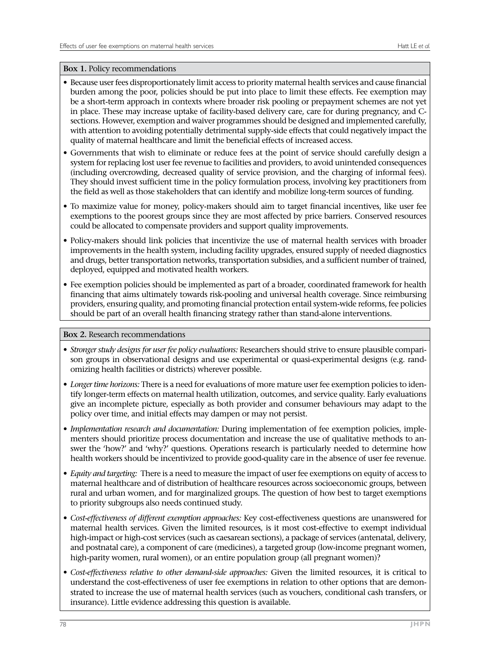### **Box 1.** Policy recommendations

- Because user fees disproportionately limit access to priority maternal health services and cause financial burden among the poor, policies should be put into place to limit these effects. Fee exemption may be a short-term approach in contexts where broader risk pooling or prepayment schemes are not yet in place. These may increase uptake of facility-based delivery care, care for during pregnancy, and Csections. However, exemption and waiver programmes should be designed and implemented carefully, with attention to avoiding potentially detrimental supply-side effects that could negatively impact the quality of maternal healthcare and limit the beneficial effects of increased access.
- Governments that wish to eliminate or reduce fees at the point of service should carefully design a system for replacing lost user fee revenue to facilities and providers, to avoid unintended consequences (including overcrowding, decreased quality of service provision, and the charging of informal fees). They should invest sufficient time in the policy formulation process, involving key practitioners from the field as well as those stakeholders that can identify and mobilize long-term sources of funding.
- To maximize value for money, policy-makers should aim to target financial incentives, like user fee exemptions to the poorest groups since they are most affected by price barriers. Conserved resources could be allocated to compensate providers and support quality improvements.
- Policy-makers should link policies that incentivize the use of maternal health services with broader improvements in the health system, including facility upgrades, ensured supply of needed diagnostics and drugs, better transportation networks, transportation subsidies, and a sufficient number of trained, deployed, equipped and motivated health workers.
- Fee exemption policies should be implemented as part of a broader, coordinated framework for health financing that aims ultimately towards risk-pooling and universal health coverage. Since reimbursing providers, ensuring quality, and promoting financial protection entail system-wide reforms, fee policies should be part of an overall health financing strategy rather than stand-alone interventions.

## **Box 2.** Research recommendations

- *Stronger study designs for user fee policy evaluations:* Researchers should strive to ensure plausible comparison groups in observational designs and use experimental or quasi-experimental designs (e.g. randomizing health facilities or districts) wherever possible.
- *Longer time horizons:* There is a need for evaluations of more mature user fee exemption policies to identify longer-term effects on maternal health utilization, outcomes, and service quality. Early evaluations give an incomplete picture, especially as both provider and consumer behaviours may adapt to the policy over time, and initial effects may dampen or may not persist.
- *Implementation research and documentation:* During implementation of fee exemption policies, implementers should prioritize process documentation and increase the use of qualitative methods to answer the 'how?' and 'why?' questions. Operations research is particularly needed to determine how health workers should be incentivized to provide good-quality care in the absence of user fee revenue.
- *Equity and targeting:* There is a need to measure the impact of user fee exemptions on equity of access to maternal healthcare and of distribution of healthcare resources across socioeconomic groups, between rural and urban women, and for marginalized groups. The question of how best to target exemptions to priority subgroups also needs continued study.
- *Cost-effectiveness of different exemption approaches:* Key cost-effectiveness questions are unanswered for maternal health services. Given the limited resources, is it most cost-effective to exempt individual high-impact or high-cost services (such as caesarean sections), a package of services (antenatal, delivery, and postnatal care), a component of care (medicines), a targeted group (low-income pregnant women, high-parity women, rural women), or an entire population group (all pregnant women)?
- *Cost-effectiveness relative to other demand-side approaches:* Given the limited resources, it is critical to understand the cost-effectiveness of user fee exemptions in relation to other options that are demonstrated to increase the use of maternal health services (such as vouchers, conditional cash transfers, or insurance). Little evidence addressing this question is available.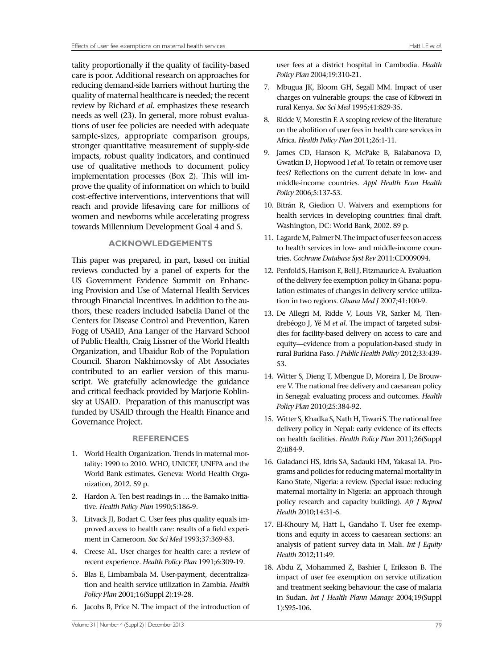tality proportionally if the quality of facility-based care is poor. Additional research on approaches for reducing demand-side barriers without hurting the quality of maternal healthcare is needed; the recent review by Richard *et al*. emphasizes these research needs as well (23). In general, more robust evaluations of user fee policies are needed with adequate sample-sizes, appropriate comparison groups, stronger quantitative measurement of supply-side impacts, robust quality indicators, and continued use of qualitative methods to document policy implementation processes (Box 2). This will improve the quality of information on which to build cost-effective interventions, interventions that will reach and provide lifesaving care for millions of women and newborns while accelerating progress towards Millennium Development Goal 4 and 5.

## **ACKNOWLEDGEMENTS**

This paper was prepared, in part, based on initial reviews conducted by a panel of experts for the US Government Evidence Summit on Enhancing Provision and Use of Maternal Health Services through Financial Incentives. In addition to the authors, these readers included Isabella Danel of the Centers for Disease Control and Prevention, Karen Fogg of USAID, Ana Langer of the Harvard School of Public Health, Craig Lissner of the World Health Organization, and Ubaidur Rob of the Population Council. Sharon Nakhimovsky of Abt Associates contributed to an earlier version of this manuscript. We gratefully acknowledge the guidance and critical feedback provided by Marjorie Koblinsky at USAID. Preparation of this manuscript was funded by USAID through the Health Finance and Governance Project.

#### **REFERENCES**

- 1. World Health Organization. Trends in maternal mortality: 1990 to 2010. WHO, UNICEF, UNFPA and the World Bank estimates. Geneva: World Health Organization, 2012. 59 p.
- 2. Hardon A. Ten best readings in … the Bamako initiative. *Health Policy Plan* 1990;5:186-9.
- 3. Litvack JI, Bodart C. User fees plus quality equals improved access to health care: results of a field experiment in Cameroon. *Soc Sci Med* 1993;37:369-83.
- 4. Creese AL. User charges for health care: a review of recent experience. *Health Policy Plan* 1991;6:309-19.
- 5. Blas E, Limbambala M. User-payment, decentralization and health service utilization in Zambia. *Health Policy Plan* 2001;16(Suppl 2):19-28.
- 6. Jacobs B, Price N. The impact of the introduction of

Volume 31 | Number 4 (Suppl 2) | December 2013 79

user fees at a district hospital in Cambodia. *Health Policy Plan* 2004;19:310-21.

- 7. Mbugua JK, Bloom GH, Segall MM. Impact of user charges on vulnerable groups: the case of Kibwezi in rural Kenya. *Soc Sci Med* 1995;41:829-35.
- 8. Ridde V, Morestin F. A scoping review of the literature on the abolition of user fees in health care services in Africa. *Health Policy Plan* 2011;26:1-11.
- 9. James CD, Hanson K, McPake B, Balabanova D, Gwatkin D, Hopwood I *et al.* To retain or remove user fees? Reflections on the current debate in low- and middle-income countries. *Appl Health Econ Health Policy* 2006;5:137-53.
- 10. Bitrán R, Giedion U. Waivers and exemptions for health services in developing countries: final draft. Washington, DC: World Bank, 2002. 89 p.
- 11. Lagarde M, Palmer N. The impact of user fees on access to health services in low- and middle-income countries. *Cochrane Database Syst Rev* 2011:CD009094.
- 12. Penfold S, Harrison E, Bell J, Fitzmaurice A. Evaluation of the delivery fee exemption policy in Ghana: population estimates of changes in delivery service utilization in two regions. *Ghana Med J* 2007;41:100-9.
- 13. De Allegri M, Ridde V, Louis VR, Sarker M, Tiendrebéogo J, Yé M *et al.* The impact of targeted subsidies for facility-based delivery on access to care and equity—evidence from a population-based study in rural Burkina Faso. *J Public Health Policy* 2012;33:439- 53.
- 14. Witter S, Dieng T, Mbengue D, Moreira I, De Brouwere V. The national free delivery and caesarean policy in Senegal: evaluating process and outcomes. *Health Policy Plan* 2010;25:384-92.
- 15. Witter S, Khadka S, Nath H, Tiwari S. The national free delivery policy in Nepal: early evidence of its effects on health facilities. *Health Policy Plan* 2011;26(Suppl 2):ii84-9.
- 16. Galadanci HS, Idris SA, Sadauki HM, Yakasai IA. Programs and policies for reducing maternal mortality in Kano State, Nigeria: a review. (Special issue: reducing maternal mortality in Nigeria: an approach through policy research and capacity building). *Afr J Reprod Health* 2010;14:31-6.
- 17. El-Khoury M, Hatt L, Gandaho T. User fee exemptions and equity in access to caesarean sections: an analysis of patient survey data in Mali. *Int J Equity Health* 2012;11:49.
- 18. Abdu Z, Mohammed Z, Bashier I, Eriksson B. The impact of user fee exemption on service utilization and treatment seeking behaviour: the case of malaria in Sudan. *Int J Health Plann Manage* 2004;19(Suppl 1):S95-106.